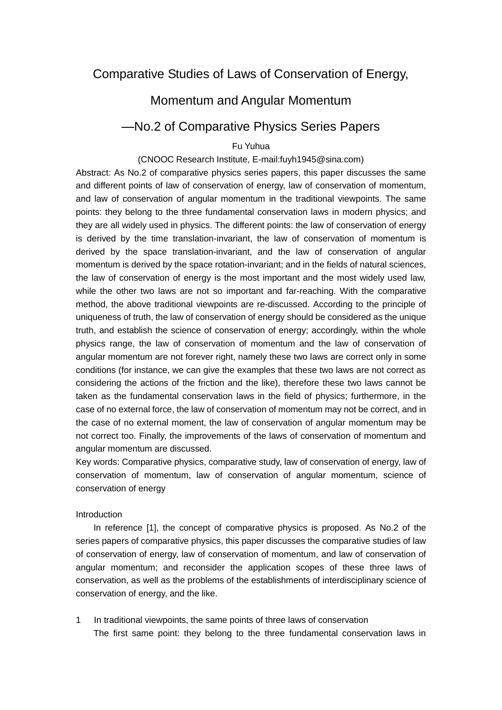# Comparative Studies of Laws of Conservation of Energy,

## Momentum and Angular Momentum

### —No.2 of Comparative Physics Series Papers

### Fu Yuhua

#### (CNOOC Research Institute, E-mail:fuyh1945@sina.com)

Abstract: As No.2 of comparative physics series papers, this paper discusses the same and different points of law of conservation of energy, law of conservation of momentum, and law of conservation of angular momentum in the traditional viewpoints. The same points: they belong to the three fundamental conservation laws in modern physics; and they are all widely used in physics. The different points: the law of conservation of energy is derived by the time translation-invariant, the law of conservation of momentum is derived by the space translation-invariant, and the law of conservation of angular momentum is derived by the space rotation-invariant; and in the fields of natural sciences, the law of conservation of energy is the most important and the most widely used law, while the other two laws are not so important and far-reaching. With the comparative method, the above traditional viewpoints are re-discussed. According to the principle of uniqueness of truth, the law of conservation of energy should be considered as the unique truth, and establish the science of conservation of energy; accordingly, within the whole physics range, the law of conservation of momentum and the law of conservation of angular momentum are not forever right, namely these two laws are correct only in some conditions (for instance, we can give the examples that these two laws are not correct as considering the actions of the friction and the like), therefore these two laws cannot be taken as the fundamental conservation laws in the field of physics; furthermore, in the case of no external force, the law of conservation of momentum may not be correct, and in the case of no external moment, the law of conservation of angular momentum may be not correct too. Finally, the improvements of the laws of conservation of momentum and angular momentum are discussed.

Key words: Comparative physics, comparative study, law of conservation of energy, law of conservation of momentum, law of conservation of angular momentum, science of conservation of energy

#### Introduction

In reference [1], the concept of comparative physics is proposed. As No.2 of the series papers of comparative physics, this paper discusses the comparative studies of law of conservation of energy, law of conservation of momentum, and law of conservation of angular momentum; and reconsider the application scopes of these three laws of conservation, as well as the problems of the establishments of interdisciplinary science of conservation of energy, and the like.

1 In traditional viewpoints, the same points of three laws of conservation The first same point: they belong to the three fundamental conservation laws in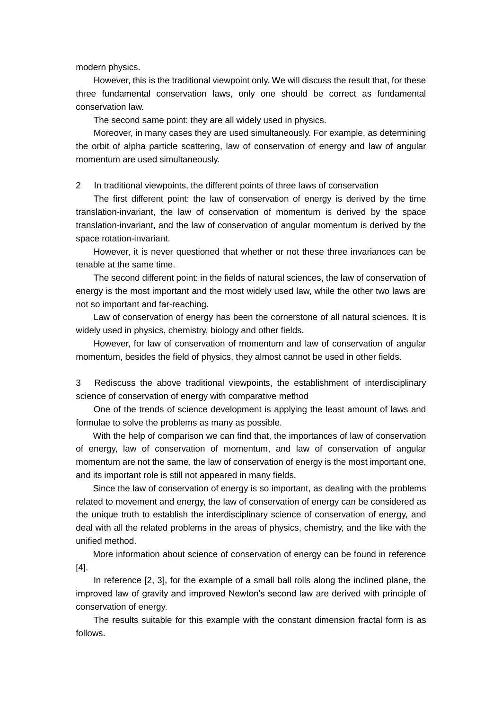modern physics.

However, this is the traditional viewpoint only. We will discuss the result that, for these three fundamental conservation laws, only one should be correct as fundamental conservation law.

The second same point: they are all widely used in physics.

Moreover, in many cases they are used simultaneously. For example, as determining the orbit of alpha particle scattering, law of conservation of energy and law of angular momentum are used simultaneously.

2 In traditional viewpoints, the different points of three laws of conservation

The first different point: the law of conservation of energy is derived by the time translation-invariant, the law of conservation of momentum is derived by the space translation-invariant, and the law of conservation of angular momentum is derived by the space rotation-invariant.

However, it is never questioned that whether or not these three invariances can be tenable at the same time.

The second different point: in the fields of natural sciences, the law of conservation of energy is the most important and the most widely used law, while the other two laws are not so important and far-reaching.

Law of conservation of energy has been the cornerstone of all natural sciences. It is widely used in physics, chemistry, biology and other fields.

However, for law of conservation of momentum and law of conservation of angular momentum, besides the field of physics, they almost cannot be used in other fields.

3 Rediscuss the above traditional viewpoints, the establishment of interdisciplinary science of conservation of energy with comparative method

One of the trends of science development is applying the least amount of laws and formulae to solve the problems as many as possible.

With the help of comparison we can find that, the importances of law of conservation of energy, law of conservation of momentum, and law of conservation of angular momentum are not the same, the law of conservation of energy is the most important one, and its important role is still not appeared in many fields.

Since the law of conservation of energy is so important, as dealing with the problems related to movement and energy, the law of conservation of energy can be considered as the unique truth to establish the interdisciplinary science of conservation of energy, and deal with all the related problems in the areas of physics, chemistry, and the like with the unified method.

More information about science of conservation of energy can be found in reference [4].

In reference [2, 3], for the example of a small ball rolls along the inclined plane, the improved law of gravity and improved Newton's second law are derived with principle of conservation of energy.

The results suitable for this example with the constant dimension fractal form is as follows.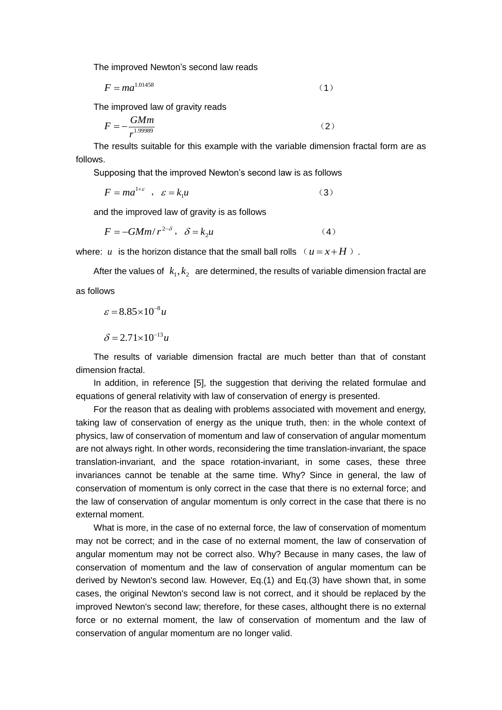The improved Newton's second law reads

$$
F = ma^{1.01458} \tag{1}
$$

The improved law of gravity reads

$$
F = -\frac{GMm}{r^{1.99989}}
$$

The results suitable for this example with the variable dimension fractal form are as follows.

Supposing that the improved Newton's second law is as follows

$$
F = ma^{1+\varepsilon} \quad , \quad \varepsilon = k_1 u \tag{3}
$$

and the improved law of gravity is as follows

$$
F = -GMm/r^{2-\delta}, \quad \delta = k_2 u \tag{4}
$$

where:  $u$  is the horizon distance that the small ball rolls  $(u = x + H)$ .

After the values of  $k_1, k_2$  are determined, the results of variable dimension fractal are as follows

$$
\varepsilon = 8.85 \times 10^{-8} u
$$

$$
\delta = 2.71 \times 10^{-13} u
$$

The results of variable dimension fractal are much better than that of constant dimension fractal.

In addition, in reference [5], the suggestion that deriving the related formulae and equations of general relativity with law of conservation of energy is presented.

For the reason that as dealing with problems associated with movement and energy, taking law of conservation of energy as the unique truth, then: in the whole context of physics, law of conservation of momentum and law of conservation of angular momentum are not always right. In other words, reconsidering the time translation-invariant, the space translation-invariant, and the space rotation-invariant, in some cases, these three invariances cannot be tenable at the same time. Why? Since in general, the law of conservation of momentum is only correct in the case that there is no external force; and the law of conservation of angular momentum is only correct in the case that there is no external moment.

What is more, in the case of no external force, the law of conservation of momentum may not be correct; and in the case of no external moment, the law of conservation of angular momentum may not be correct also. Why? Because in many cases, the law of conservation of momentum and the law of conservation of angular momentum can be derived by Newton's second law. However, Eq.(1) and Eq.(3) have shown that, in some cases, the original Newton's second law is not correct, and it should be replaced by the improved Newton's second law; therefore, for these cases, althought there is no external force or no external moment, the law of conservation of momentum and the law of conservation of angular momentum are no longer valid.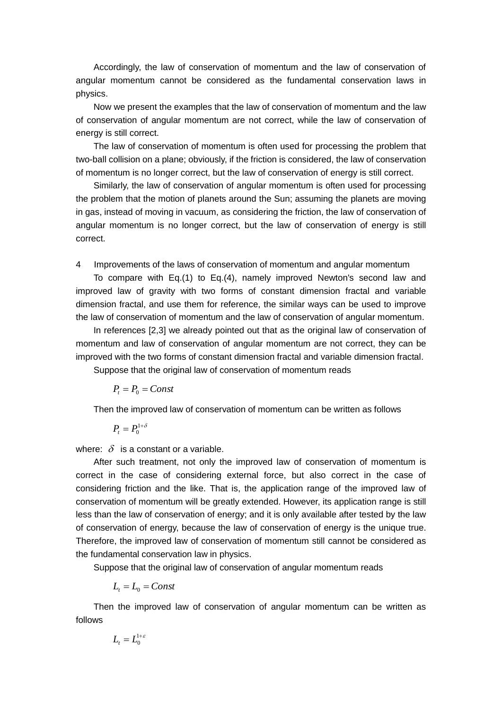Accordingly, the law of conservation of momentum and the law of conservation of angular momentum cannot be considered as the fundamental conservation laws in physics.

Now we present the examples that the law of conservation of momentum and the law of conservation of angular momentum are not correct, while the law of conservation of energy is still correct.

The law of conservation of momentum is often used for processing the problem that two-ball collision on a plane; obviously, if the friction is considered, the law of conservation of momentum is no longer correct, but the law of conservation of energy is still correct.

Similarly, the law of conservation of angular momentum is often used for processing the problem that the motion of planets around the Sun; assuming the planets are moving in gas, instead of moving in vacuum, as considering the friction, the law of conservation of angular momentum is no longer correct, but the law of conservation of energy is still correct.

4 Improvements of the laws of conservation of momentum and angular momentum

To compare with Eq.(1) to Eq.(4), namely improved Newton's second law and improved law of gravity with two forms of constant dimension fractal and variable dimension fractal, and use them for reference, the similar ways can be used to improve the law of conservation of momentum and the law of conservation of angular momentum.

In references [2,3] we already pointed out that as the original law of conservation of momentum and law of conservation of angular momentum are not correct, they can be improved with the two forms of constant dimension fractal and variable dimension fractal.

Suppose that the original law of conservation of momentum reads

 $P_t = P_0 = Const$ 

Then the improved law of conservation of momentum can be written as follows

 $P_{t} = P_{0}^{1+\delta}$ 

where:  $\delta$  is a constant or a variable.

After such treatment, not only the improved law of conservation of momentum is correct in the case of considering external force, but also correct in the case of considering friction and the like. That is, the application range of the improved law of conservation of momentum will be greatly extended. However, its application range is still less than the law of conservation of energy; and it is only available after tested by the law of conservation of energy, because the law of conservation of energy is the unique true. Therefore, the improved law of conservation of momentum still cannot be considered as the fundamental conservation law in physics.

Suppose that the original law of conservation of angular momentum reads

 $L_t = L_0 = Const$ 

Then the improved law of conservation of angular momentum can be written as follows

$$
L_{t}=L_{0}^{1+\varepsilon}
$$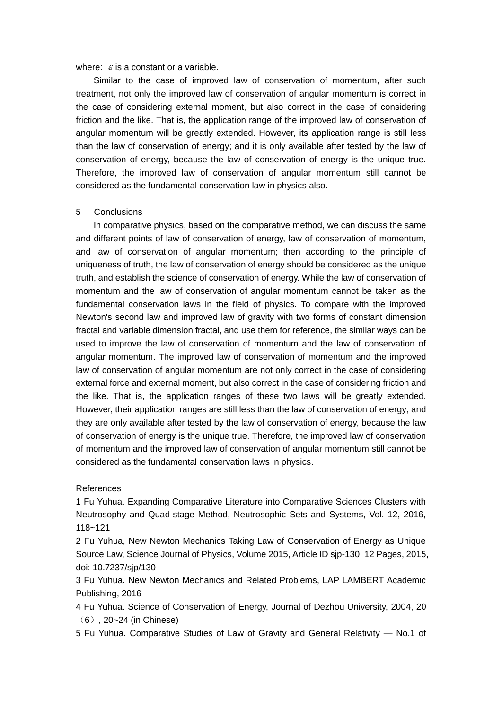where:  $\varepsilon$  is a constant or a variable.

Similar to the case of improved law of conservation of momentum, after such treatment, not only the improved law of conservation of angular momentum is correct in the case of considering external moment, but also correct in the case of considering friction and the like. That is, the application range of the improved law of conservation of angular momentum will be greatly extended. However, its application range is still less than the law of conservation of energy; and it is only available after tested by the law of conservation of energy, because the law of conservation of energy is the unique true. Therefore, the improved law of conservation of angular momentum still cannot be considered as the fundamental conservation law in physics also.

#### 5 Conclusions

In comparative physics, based on the comparative method, we can discuss the same and different points of law of conservation of energy, law of conservation of momentum, and law of conservation of angular momentum; then according to the principle of uniqueness of truth, the law of conservation of energy should be considered as the unique truth, and establish the science of conservation of energy. While the law of conservation of momentum and the law of conservation of angular momentum cannot be taken as the fundamental conservation laws in the field of physics. To compare with the improved Newton's second law and improved law of gravity with two forms of constant dimension fractal and variable dimension fractal, and use them for reference, the similar ways can be used to improve the law of conservation of momentum and the law of conservation of angular momentum. The improved law of conservation of momentum and the improved law of conservation of angular momentum are not only correct in the case of considering external force and external moment, but also correct in the case of considering friction and the like. That is, the application ranges of these two laws will be greatly extended. However, their application ranges are still less than the law of conservation of energy; and they are only available after tested by the law of conservation of energy, because the law of conservation of energy is the unique true. Therefore, the improved law of conservation of momentum and the improved law of conservation of angular momentum still cannot be considered as the fundamental conservation laws in physics.

#### References

1 Fu Yuhua. Expanding Comparative Literature into Comparative Sciences Clusters with Neutrosophy and Quad-stage Method, Neutrosophic Sets and Systems, Vol. 12, 2016, 118~121

2 Fu Yuhua, New Newton Mechanics Taking Law of Conservation of Energy as Unique Source Law, Science Journal of Physics, Volume 2015, Article ID sjp-130, 12 Pages, 2015, doi: 10.7237/sjp/130

3 Fu Yuhua. New Newton Mechanics and Related Problems, LAP LAMBERT Academic Publishing, 2016

4 Fu Yuhua. Science of Conservation of Energy, Journal of Dezhou University, 2004, 20 (6), 20~24 (in Chinese)

5 Fu Yuhua. Comparative Studies of Law of Gravity and General Relativity — No.1 of